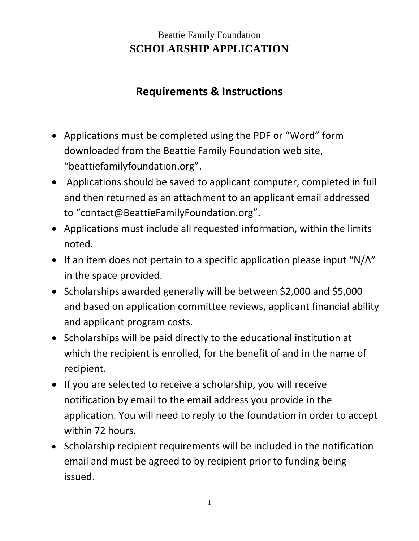## Beattie Family Foundation **SCHOLARSHIP APPLICATION**

# **Requirements & Instructions**

- Applications must be completed using the PDF or "Word" form downloaded from the Beattie Family Foundation web site, "beattiefamilyfoundation.org".
- Applications should be saved to applicant computer, completed in full and then returned as an attachment to an applicant email addressed to "contact@BeattieFamilyFoundation.org".
- Applications must include all requested information, within the limits noted.
- If an item does not pertain to a specific application please input "N/A" in the space provided.
- Scholarships awarded generally will be between \$2,000 and \$5,000 and based on application committee reviews, applicant financial ability and applicant program costs.
- Scholarships will be paid directly to the educational institution at which the recipient is enrolled, for the benefit of and in the name of recipient.
- If you are selected to receive a scholarship, you will receive notification by email to the email address you provide in the application. You will need to reply to the foundation in order to accept within 72 hours.
- Scholarship recipient requirements will be included in the notification email and must be agreed to by recipient prior to funding being issued.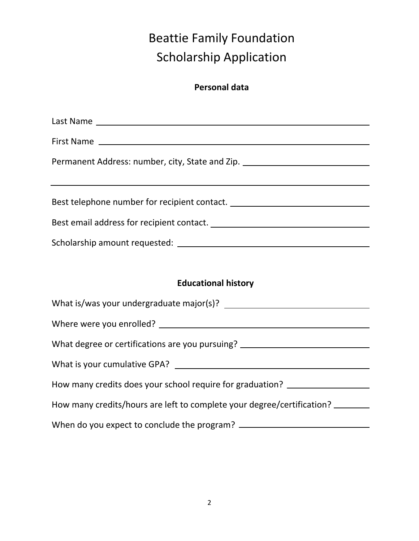# Beattie Family Foundation Scholarship Application

## **Personal data**

| Permanent Address: number, city, State and Zip. ________________________________                                                  |  |  |
|-----------------------------------------------------------------------------------------------------------------------------------|--|--|
| <u> 1989 - Andrea Andrew Maria (h. 1989).</u><br>Best telephone number for recipient contact. ___________________________________ |  |  |
|                                                                                                                                   |  |  |
|                                                                                                                                   |  |  |
|                                                                                                                                   |  |  |
| <b>Educational history</b>                                                                                                        |  |  |
|                                                                                                                                   |  |  |
|                                                                                                                                   |  |  |
|                                                                                                                                   |  |  |
| What degree or certifications are you pursuing? ________________________________                                                  |  |  |
|                                                                                                                                   |  |  |
| How many credits does your school require for graduation? ______________________                                                  |  |  |
| How many credits/hours are left to complete your degree/certification?                                                            |  |  |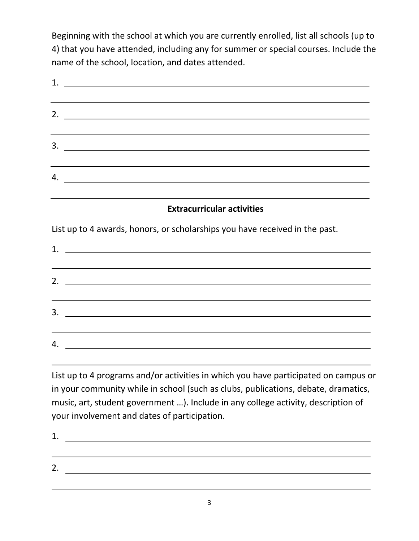Beginning with the school at which you are currently enrolled, list all schools (up to 4) that you have attended, including any for summer or special courses. Include the name of the school, location, and dates attended.

| 1.<br><u> 1989 - Johann Barbara, martin amerikan basal dan berasal dan berasal dalam basal dalam basal dan berasal dala</u>                                                                                                                                                                                                                                                           |  |  |
|---------------------------------------------------------------------------------------------------------------------------------------------------------------------------------------------------------------------------------------------------------------------------------------------------------------------------------------------------------------------------------------|--|--|
| 2. $\frac{1}{2}$ $\frac{1}{2}$ $\frac{1}{2}$ $\frac{1}{2}$ $\frac{1}{2}$ $\frac{1}{2}$ $\frac{1}{2}$ $\frac{1}{2}$ $\frac{1}{2}$ $\frac{1}{2}$ $\frac{1}{2}$ $\frac{1}{2}$ $\frac{1}{2}$ $\frac{1}{2}$ $\frac{1}{2}$ $\frac{1}{2}$ $\frac{1}{2}$ $\frac{1}{2}$ $\frac{1}{2}$ $\frac{1}{2}$ $\frac{1}{2}$ $\frac{1}{2}$                                                                |  |  |
| <u> 1989 - Andrea Andrew Maria (h. 1989).</u><br>3.<br><u> 1989 - Johann Harry Harry Harry Harry Harry Harry Harry Harry Harry Harry Harry Harry Harry Harry Harry Harry</u>                                                                                                                                                                                                          |  |  |
| $\overline{a}$ . $\overline{a}$ $\overline{a}$ $\overline{a}$ $\overline{a}$ $\overline{a}$ $\overline{a}$ $\overline{a}$ $\overline{a}$ $\overline{a}$ $\overline{a}$ $\overline{a}$ $\overline{a}$ $\overline{a}$ $\overline{a}$ $\overline{a}$ $\overline{a}$ $\overline{a}$ $\overline{a}$ $\overline{a}$ $\overline{a}$ $\overline{a}$ $\overline{a}$ $\overline{a}$ $\overline$ |  |  |
| <b>Extracurricular activities</b>                                                                                                                                                                                                                                                                                                                                                     |  |  |
| List up to 4 awards, honors, or scholarships you have received in the past.                                                                                                                                                                                                                                                                                                           |  |  |
| 2.<br><u> 1989 - John Barn Barn, amerikansk politiker (</u><br>and the control of the control of the control of the control of the control of the control of the control of the                                                                                                                                                                                                       |  |  |
| 3.<br>the control of the control of the control of the control of the control of the control of the control of the control of the control of the control of the control of the control of the control of the control of the control                                                                                                                                                   |  |  |
| 4.                                                                                                                                                                                                                                                                                                                                                                                    |  |  |

List up to 4 programs and/or activities in which you have participated on campus or in your community while in school (such as clubs, publications, debate, dramatics, music, art, student government …). Include in any college activity, description of your involvement and dates of participation.

1. <u> 1989 - Andrea Stadt Britain, amerikansk politik (\* 1958)</u> 2.

3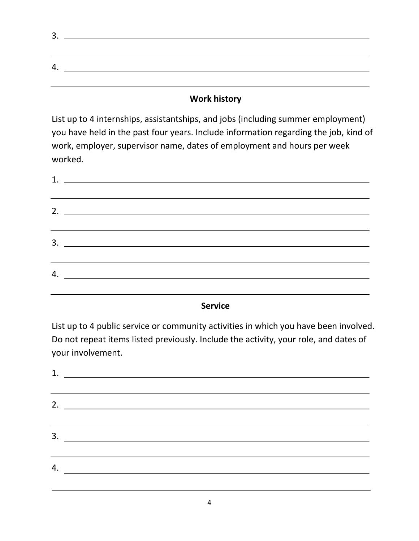| . پ |  |
|-----|--|
|     |  |
|     |  |
|     |  |
|     |  |
|     |  |

### **Work history**

List up to 4 internships, assistantships, and jobs (including summer employment) you have held in the past four years. Include information regarding the job, kind of work, employer, supervisor name, dates of employment and hours per week worked.

| 2.                            |
|-------------------------------|
|                               |
| $3.$ $\overline{\phantom{a}}$ |
|                               |
| 4. $\qquad \qquad$            |
|                               |

#### **Service**

List up to 4 public service or community activities in which you have been involved. Do not repeat items listed previously. Include the activity, your role, and dates of your involvement.

| 2. $\qquad \qquad$            |  |
|-------------------------------|--|
|                               |  |
| $3.$ $\overline{\phantom{a}}$ |  |
|                               |  |
| 4. $\overline{\phantom{a}}$   |  |
|                               |  |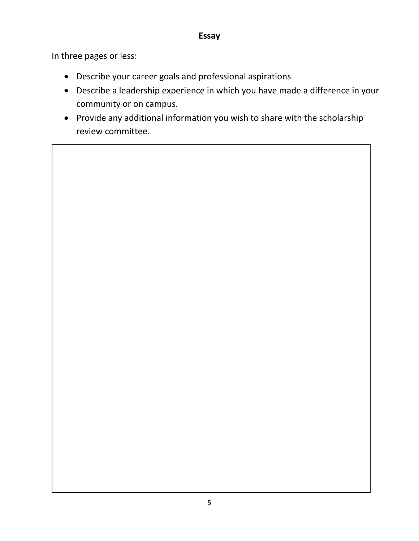#### **Essay**

In three pages or less:

- Describe your career goals and professional aspirations
- Describe a leadership experience in which you have made a difference in your community or on campus.
- Provide any additional information you wish to share with the scholarship review committee.